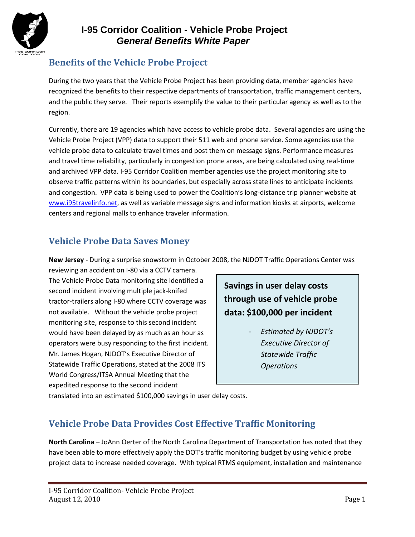

## **Benefits of the Vehicle Probe Project**

During the two years that the Vehicle Probe Project has been providing data, member agencies have recognized the benefits to their respective departments of transportation, traffic management centers, and the public they serve. Their reports exemplify the value to their particular agency as well as to the region.

Currently, there are 19 agencies which have access to vehicle probe data. Several agencies are using the Vehicle Probe Project (VPP) data to support their 511 web and phone service. Some agencies use the vehicle probe data to calculate travel times and post them on message signs. Performance measures and travel time reliability, particularly in congestion prone areas, are being calculated using real-time and archived VPP data. I-95 Corridor Coalition member agencies use the project monitoring site to observe traffic patterns within its boundaries, but especially across state lines to anticipate incidents and congestion. VPP data is being used to power the Coalition's long-distance trip planner website at [www.i95travelinfo.net,](http://www.i95travelinfo.net/) as well as variable message signs and information kiosks at airports, welcome centers and regional malls to enhance traveler information.

## **Vehicle Probe Data Saves Money**

**New Jersey** - During a surprise snowstorm in October 2008, the NJDOT Traffic Operations Center was

reviewing an accident on I-80 via a CCTV camera. The Vehicle Probe Data monitoring site identified a second incident involving multiple jack-knifed tractor-trailers along I-80 where CCTV coverage was not available. Without the vehicle probe project monitoring site, response to this second incident would have been delayed by as much as an hour as operators were busy responding to the first incident. Mr. James Hogan, NJDOT's Executive Director of Statewide Traffic Operations, stated at the 2008 ITS World Congress/ITSA Annual Meeting that the expedited response to the second incident

**Savings in user delay costs through use of vehicle probe data: \$100,000 per incident**

> - *Estimated by NJDOT's Executive Director of Statewide Traffic Operations*

translated into an estimated \$100,000 savings in user delay costs.

#### **Vehicle Probe Data Provides Cost Effective Traffic Monitoring**

**North Carolina** – JoAnn Oerter of the North Carolina Department of Transportation has noted that they have been able to more effectively apply the DOT's traffic monitoring budget by using vehicle probe project data to increase needed coverage. With typical RTMS equipment, installation and maintenance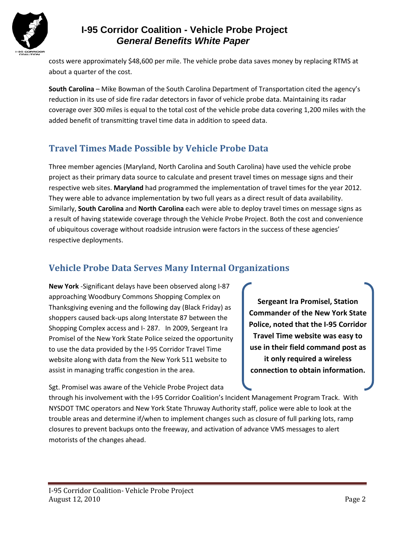

costs were approximately \$48,600 per mile. The vehicle probe data saves money by replacing RTMS at about a quarter of the cost.

**South Carolina** – Mike Bowman of the South Carolina Department of Transportation cited the agency's reduction in its use of side fire radar detectors in favor of vehicle probe data. Maintaining its radar coverage over 300 miles is equal to the total cost of the vehicle probe data covering 1,200 miles with the added benefit of transmitting travel time data in addition to speed data.

# **Travel Times Made Possible by Vehicle Probe Data**

Three member agencies (Maryland, North Carolina and South Carolina) have used the vehicle probe project as their primary data source to calculate and present travel times on message signs and their respective web sites. **Maryland** had programmed the implementation of travel times for the year 2012. They were able to advance implementation by two full years as a direct result of data availability. Similarly, **South Carolina** and **North Carolina** each were able to deploy travel times on message signs as a result of having statewide coverage through the Vehicle Probe Project. Both the cost and convenience of ubiquitous coverage without roadside intrusion were factors in the success of these agencies' respective deployments.

## **Vehicle Probe Data Serves Many Internal Organizations**

**New York** -Significant delays have been observed along I-87 approaching Woodbury Commons Shopping Complex on Thanksgiving evening and the following day (Black Friday) as shoppers caused back-ups along Interstate 87 between the Shopping Complex access and I- 287. In 2009, Sergeant Ira Promisel of the New York State Police seized the opportunity to use the data provided by the I-95 Corridor Travel Time website along with data from the New York 511 website to assist in managing traffic congestion in the area.

Sgt. Promisel was aware of the Vehicle Probe Project data

**Sergeant Ira Promisel, Station Commander of the New York State Police, noted that the I-95 Corridor Travel Time website was easy to use in their field command post as it only required a wireless connection to obtain information.** 

through his involvement with the I-95 Corridor Coalition's Incident Management Program Track. With NYSDOT TMC operators and New York State Thruway Authority staff, police were able to look at the trouble areas and determine if/when to implement changes such as closure of full parking lots, ramp closures to prevent backups onto the freeway, and activation of advance VMS messages to alert motorists of the changes ahead.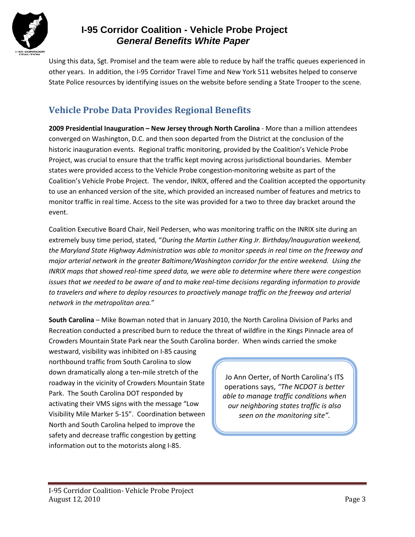

Using this data, Sgt. Promisel and the team were able to reduce by half the traffic queues experienced in other years. In addition, the I-95 Corridor Travel Time and New York 511 websites helped to conserve State Police resources by identifying issues on the website before sending a State Trooper to the scene.

## **Vehicle Probe Data Provides Regional Benefits**

**2009 Presidential Inauguration – New Jersey through North Carolina** - More than a million attendees converged on Washington, D.C. and then soon departed from the District at the conclusion of the historic inauguration events. Regional traffic monitoring, provided by the Coalition's Vehicle Probe Project, was crucial to ensure that the traffic kept moving across jurisdictional boundaries. Member states were provided access to the Vehicle Probe congestion-monitoring website as part of the Coalition's Vehicle Probe Project. The vendor, INRIX, offered and the Coalition accepted the opportunity to use an enhanced version of the site, which provided an increased number of features and metrics to monitor traffic in real time. Access to the site was provided for a two to three day bracket around the event.

Coalition Executive Board Chair, Neil Pedersen, who was monitoring traffic on the INRIX site during an extremely busy time period, stated, "*During the Martin Luther King Jr. Birthday/Inauguration weekend, the Maryland State Highway Administration was able to monitor speeds in real time on the freeway and major arterial network in the greater Baltimore/Washington corridor for the entire weekend. Using the INRIX maps that showed real-time speed data, we were able to determine where there were congestion issues that we needed to be aware of and to make real-time decisions regarding information to provide to travelers and where to deploy resources to proactively manage traffic on the freeway and arterial network in the metropolitan area.*"

**South Carolina** – Mike Bowman noted that in January 2010, the North Carolina Division of Parks and Recreation conducted a prescribed burn to reduce the threat of wildfire in the Kings Pinnacle area of Crowders Mountain State Park near the South Carolina border. When winds carried the smoke

westward, visibility was inhibited on I-85 causing northbound traffic from South Carolina to slow down dramatically along a ten-mile stretch of the roadway in the vicinity of Crowders Mountain State Park. The South Carolina DOT responded by activating their VMS signs with the message "Low Visibility Mile Marker 5-15". Coordination between North and South Carolina helped to improve the safety and decrease traffic congestion by getting information out to the motorists along I-85.

Jo Ann Oerter, of North Carolina's ITS operations says, *"The NCDOT is better able to manage traffic conditions when our neighboring states traffic is also seen on the monitoring site".*